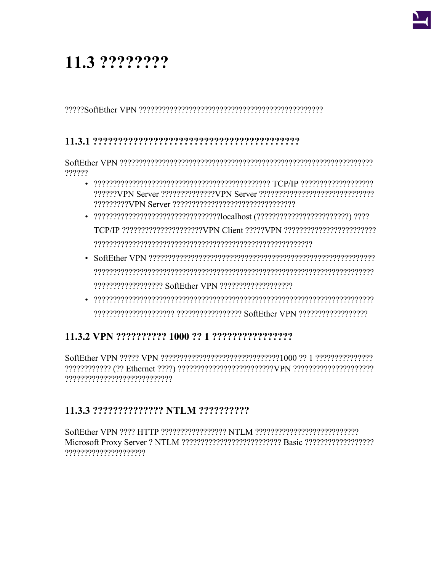# 11.3 ????????

## 

??????

- 
- 
- 
- $\bullet$  . The control opportunity that the control of the control of the control of the control of the control of the control of the control of the control of the control of the control of the control of the control of the c

# 

## 

SoftEther VPN 2222 HTTP 2222222222222222 NTLM 2222222222222222222222222222222222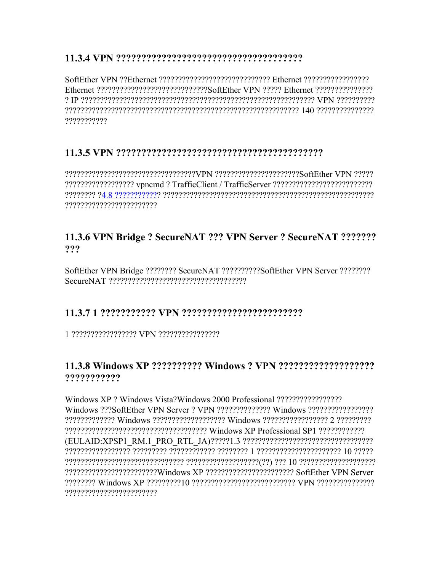Ethernet 2222222222222222222222222222356fFther VPN 22222 Ethernet 222222222222222 ???????????

## 

?????????????????????????

## 11.3.6 VPN Bridge ? SecureNAT ??? VPN Server ? SecureNAT ??????? ???

SoftEther VPN Bridge ???????? SecureNAT ?????????SoftEther VPN Server ????????? 

## 

#### 1 222222222222222 VPN 22222222222222

## ???????????

2222222222222222 Windows 222222222222222222 Windows 2222222222222222222222222222 22222222222222222222222222Windows XP 222222222222222222222223 SoftEther VPN Server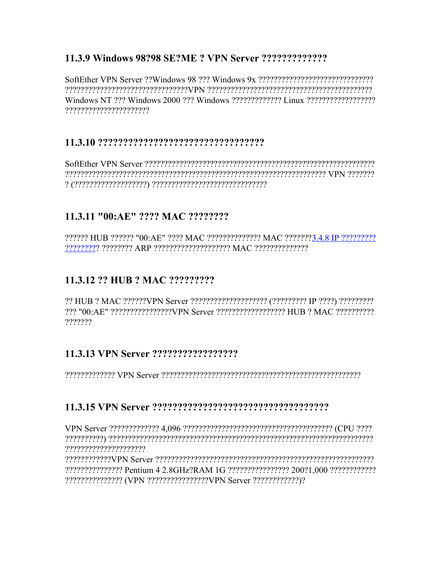Windows NT 222 Windows 2000 222 Windows 2222222222222 Linux 22222222222222222222 ??????????????????????

#### 

## 11.3.11 "00:AE" ???? MAC ????????

?????? HUB ?????? "00:AE" ???? MAC ?????????????? MAC ???????3.4.8 IP ?????????? 

## 11.3.12 ?? HUB ? MAC ?????????

?? HUB ? MAC ??????VPN Server ????????????????????? (????????? IP ????) ?????????? 222 "00: AE" 2222222222222222VPN Server 222222222222222222 HUB 2 MAC 2222222222 ??????

#### 

#### 

??????????????????????

renterrenterrenterrenten ausgestättet der Karen der Karen der Verstellung Industrieten er der Kontententen der ??????????????? (VPN ???????????????VPN Server ?????????????)?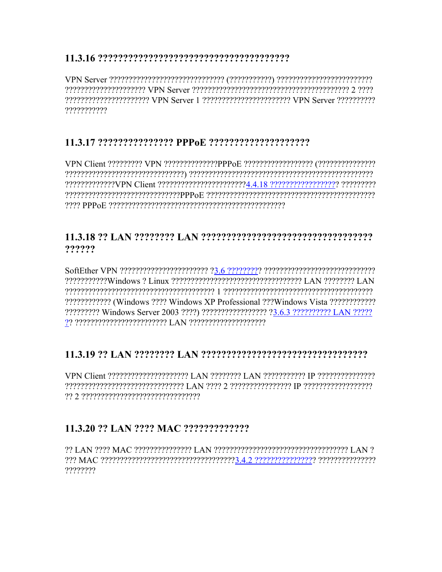rent C erecterenterreservation of the express that the VR erecterent erecterent contract that the contract of ???????????

# 

2222222222222222222221ent 222222222222222222222224.4.18 2222222222222222222222222 

## ??????

???????????? (Windows ???? Windows XP Professional ??? Windows Vista ???????????? 

# 

respondence of the presence of the control of the control of the control of the control of the control of the c 

# 

????????